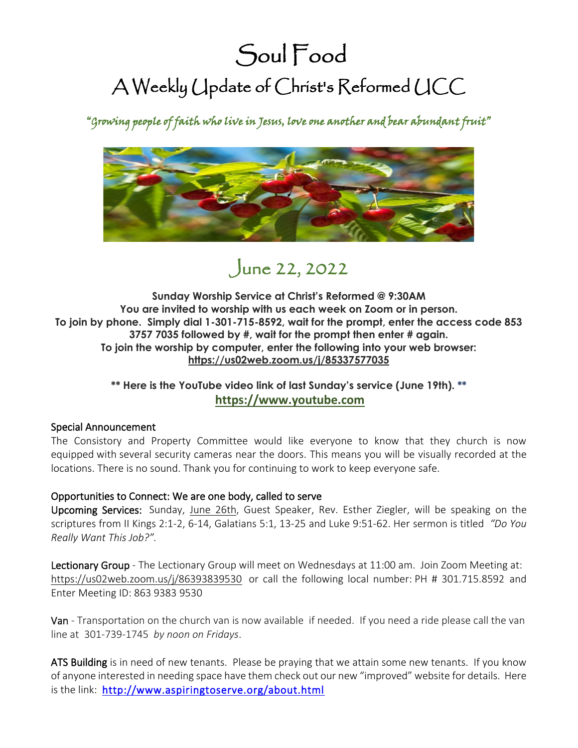# Soul Food A Weekly Update of Christ's Reformed UCC

"Growing people of faith who live in Jesus, love one another and bear abundant fruit"



## June 22, 2022

**Sunday Worship Service at Christ's Reformed @ 9:30AM You are invited to worship with us each week on Zoom or in person. To join by phone. Simply dial 1-301-715-8592, wait for the prompt, enter the access code 853 3757 7035 followed by #, wait for the prompt then enter # again. To join the worship by computer, enter the following into your web browser: <https://us02web.zoom.us/j/85337577035>**

### **\*\* Here is the YouTube video link of last Sunday's service (June 19th). \*\* [https://www.youtube.com](https://www.youtube.com/watch?v=Mk1gZ4sMvgI)**

#### Special Announcement

The Consistory and Property Committee would like everyone to know that they church is now equipped with several security cameras near the doors. This means you will be visually recorded at the locations. There is no sound. Thank you for continuing to work to keep everyone safe.

#### Opportunities to Connect: We are one body, called to serve

Upcoming Services: Sunday, June 26th, Guest Speaker, Rev. Esther Ziegler, will be speaking on the scriptures from II Kings 2:1-2, 6-14, Galatians 5:1, 13-25 and Luke 9:51-62. Her sermon is titled *"Do You Really Want This Job?".*

Lectionary Group - The Lectionary Group will meet on Wednesdays at 11:00 am. Join Zoom Meeting at: <https://us02web.zoom.us/j/86393839530> or call the following local number: PH # 301.715.8592 and Enter Meeting ID: 863 9383 9530

Van - Transportation on the church van is now available if needed. If you need a ride please call the van line at 301-739-1745 *by noon on Fridays*.

ATS Building is in need of new tenants. Please be praying that we attain some new tenants. If you know of anyone interested in needing space have them check out our new "improved" website for details. Here is the link: <http://www.aspiringtoserve.org/about.html>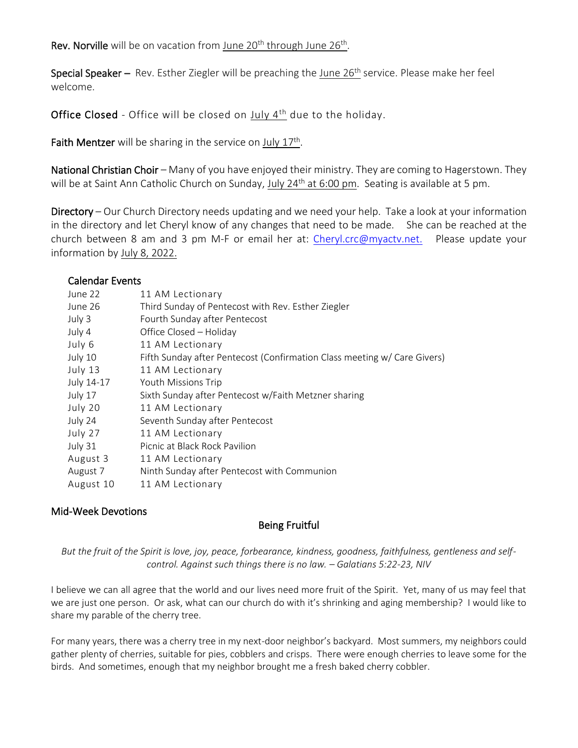Rev. Norville will be on vacation from June 20<sup>th</sup> through June 26<sup>th</sup>.

Special Speaker – Rev. Esther Ziegler will be preaching the June  $26<sup>th</sup>$  service. Please make her feel welcome.

Office Closed - Office will be closed on July 4<sup>th</sup> due to the holiday.

Faith Mentzer will be sharing in the service on  $July 17<sup>th</sup>$ .

National Christian Choir – Many of you have enjoyed their ministry. They are coming to Hagerstown. They will be at Saint Ann Catholic Church on Sunday, July 24<sup>th</sup> at 6:00 pm. Seating is available at 5 pm.

Directory – Our Church Directory needs updating and we need your help. Take a look at your information in the directory and let Cheryl know of any changes that need to be made. She can be reached at the church between 8 am and 3 pm M-F or email her at: [Cheryl.crc@myactv.net.](mailto:Cheryl.crc@myactv.net) Please update your information by July 8, 2022.

#### Calendar Events

| June 22    | 11 AM Lectionary                                                         |
|------------|--------------------------------------------------------------------------|
| June 26    | Third Sunday of Pentecost with Rev. Esther Ziegler                       |
| July 3     | Fourth Sunday after Pentecost                                            |
| July 4     | Office Closed - Holiday                                                  |
| July 6     | 11 AM Lectionary                                                         |
| July 10    | Fifth Sunday after Pentecost (Confirmation Class meeting w/ Care Givers) |
| July 13    | 11 AM Lectionary                                                         |
| July 14-17 | Youth Missions Trip                                                      |
| July 17    | Sixth Sunday after Pentecost w/Faith Metzner sharing                     |
| July 20    | 11 AM Lectionary                                                         |
| July 24    | Seventh Sunday after Pentecost                                           |
| July 27    | 11 AM Lectionary                                                         |
| July 31    | Picnic at Black Rock Pavilion                                            |
| August 3   | 11 AM Lectionary                                                         |
| August 7   | Ninth Sunday after Pentecost with Communion                              |
| August 10  | 11 AM Lectionary                                                         |
|            |                                                                          |

#### Mid-Week Devotions

#### Being Fruitful

*But the fruit of the Spirit is love, joy, peace, forbearance, kindness, goodness, faithfulness, gentleness and selfcontrol. Against such things there is no law. – Galatians 5:22-23, NIV*

I believe we can all agree that the world and our lives need more fruit of the Spirit. Yet, many of us may feel that we are just one person. Or ask, what can our church do with it's shrinking and aging membership? I would like to share my parable of the cherry tree.

For many years, there was a cherry tree in my next-door neighbor's backyard. Most summers, my neighbors could gather plenty of cherries, suitable for pies, cobblers and crisps. There were enough cherries to leave some for the birds. And sometimes, enough that my neighbor brought me a fresh baked cherry cobbler.